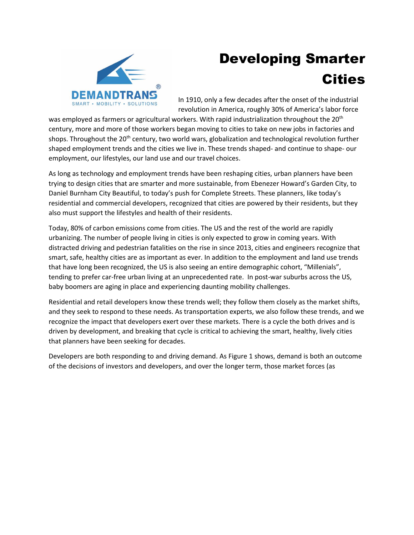

## Developing Smarter Cities

In 1910, only a few decades after the onset of the industrial revolution in America, roughly 30% of America's labor force

was employed as farmers or agricultural workers. With rapid industrialization throughout the 20<sup>th</sup> century, more and more of those workers began moving to cities to take on new jobs in factories and shops. Throughout the 20<sup>th</sup> century, two world wars, globalization and technological revolution further shaped employment trends and the cities we live in. These trends shaped- and continue to shape- our employment, our lifestyles, our land use and our travel choices.

As long as technology and employment trends have been reshaping cities, urban planners have been trying to design cities that are smarter and more sustainable, from Ebenezer Howard's Garden City, to Daniel Burnham City Beautiful, to today's push for Complete Streets. These planners, like today's residential and commercial developers, recognized that cities are powered by their residents, but they also must support the lifestyles and health of their residents.

Today, 80% of carbon emissions come from cities. The US and the rest of the world are rapidly urbanizing. The number of people living in cities is only expected to grow in coming years. With distracted driving and pedestrian fatalities on the rise in since 2013, cities and engineers recognize that smart, safe, healthy cities are as important as ever. In addition to the employment and land use trends that have long been recognized, the US is also seeing an entire demographic cohort, "Millenials", tending to prefer car-free urban living at an unprecedented rate. In post-war suburbs across the US, baby boomers are aging in place and experiencing daunting mobility challenges.

Residential and retail developers know these trends well; they follow them closely as the market shifts, and they seek to respond to these needs. As transportation experts, we also follow these trends, and we recognize the impact that developers exert over these markets. There is a cycle the both drives and is driven by development, and breaking that cycle is critical to achieving the smart, healthy, lively cities that planners have been seeking for decades.

Developers are both responding to and driving demand. As Figure 1 shows, demand is both an outcome of the decisions of investors and developers, and over the longer term, those market forces (as